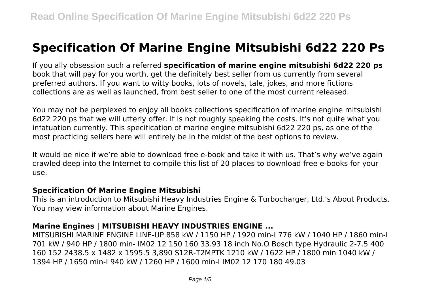# **Specification Of Marine Engine Mitsubishi 6d22 220 Ps**

If you ally obsession such a referred **specification of marine engine mitsubishi 6d22 220 ps** book that will pay for you worth, get the definitely best seller from us currently from several preferred authors. If you want to witty books, lots of novels, tale, jokes, and more fictions collections are as well as launched, from best seller to one of the most current released.

You may not be perplexed to enjoy all books collections specification of marine engine mitsubishi 6d22 220 ps that we will utterly offer. It is not roughly speaking the costs. It's not quite what you infatuation currently. This specification of marine engine mitsubishi 6d22 220 ps, as one of the most practicing sellers here will entirely be in the midst of the best options to review.

It would be nice if we're able to download free e-book and take it with us. That's why we've again crawled deep into the Internet to compile this list of 20 places to download free e-books for your use.

#### **Specification Of Marine Engine Mitsubishi**

This is an introduction to Mitsubishi Heavy Industries Engine & Turbocharger, Ltd.'s About Products. You may view information about Marine Engines.

## **Marine Engines | MITSUBISHI HEAVY INDUSTRIES ENGINE ...**

MITSUBISHI MARINE ENGINE LINE-UP 858 kW / 1150 HP / 1920 min-I 776 kW / 1040 HP / 1860 min-I 701 kW / 940 HP / 1800 min- IM02 12 150 160 33.93 18 inch No.O Bosch type Hydraulic 2-7.5 400 160 152 2438.5 x 1482 x 1595.5 3,890 S12R-T2MPTK 1210 kW / 1622 HP / 1800 min 1040 kW / 1394 HP / 1650 min-I 940 kW / 1260 HP / 1600 min-I IM02 12 170 180 49.03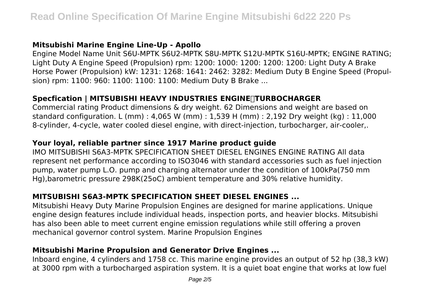## **Mitsubishi Marine Engine Line-Up - Apollo**

Engine Model Name Unit S6U-MPTK S6U2-MPTK S8U-MPTK S12U-MPTK S16U-MPTK; ENGINE RATING; Light Duty A Engine Speed (Propulsion) rpm: 1200: 1000: 1200: 1200: 1200: Light Duty A Brake Horse Power (Propulsion) kW: 1231: 1268: 1641: 2462: 3282: Medium Duty B Engine Speed (Propulsion) rpm: 1100: 960: 1100: 1100: 1100: Medium Duty B Brake ...

## **Specfication | MITSUBISHI HEAVY INDUSTRIES ENGINE&TURBOCHARGER**

Commercial rating Product dimensions & dry weight. 62 Dimensions and weight are based on standard configuration. L (mm) : 4,065 W (mm) : 1,539 H (mm) : 2,192 Dry weight (kg) : 11,000 8-cylinder, 4-cycle, water cooled diesel engine, with direct-injection, turbocharger, air-cooler,.

## **Your loyal, reliable partner since 1917 Marine product guide**

IMO MITSUBISHI S6A3-MPTK SPECIFICATION SHEET DIESEL ENGINES ENGINE RATING All data represent net performance according to ISO3046 with standard accessories such as fuel injection pump, water pump L.O. pump and charging alternator under the condition of 100kPa(750 mm Hg),barometric pressure 298K(25oC) ambient temperature and 30% relative humidity.

## **MITSUBISHI S6A3-MPTK SPECIFICATION SHEET DIESEL ENGINES ...**

Mitsubishi Heavy Duty Marine Propulsion Engines are designed for marine applications. Unique engine design features include individual heads, inspection ports, and heavier blocks. Mitsubishi has also been able to meet current engine emission regulations while still offering a proven mechanical governor control system. Marine Propulsion Engines

## **Mitsubishi Marine Propulsion and Generator Drive Engines ...**

Inboard engine, 4 cylinders and 1758 cc. This marine engine provides an output of 52 hp (38,3 kW) at 3000 rpm with a turbocharged aspiration system. It is a quiet boat engine that works at low fuel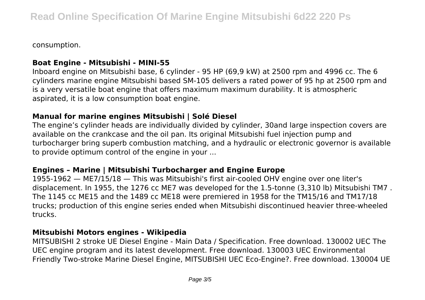consumption.

#### **Boat Engine - Mitsubishi - MINI-55**

Inboard engine on Mitsubishi base, 6 cylinder - 95 HP (69,9 kW) at 2500 rpm and 4996 cc. The 6 cylinders marine engine Mitsubishi based SM-105 delivers a rated power of 95 hp at 2500 rpm and is a very versatile boat engine that offers maximum maximum durability. It is atmospheric aspirated, it is a low consumption boat engine.

## **Manual for marine engines Mitsubishi | Solé Diesel**

The engine's cylinder heads are individually divided by cylinder, 30and large inspection covers are available on the crankcase and the oil pan. Its original Mitsubishi fuel injection pump and turbocharger bring superb combustion matching, and a hydraulic or electronic governor is available to provide optimum control of the engine in your ...

#### **Engines – Marine | Mitsubishi Turbocharger and Engine Europe**

1955-1962 — ME7/15/18 — This was Mitsubishi's first air-cooled OHV engine over one liter's displacement. In 1955, the 1276 cc ME7 was developed for the 1.5-tonne (3,310 lb) Mitsubishi TM7 . The 1145 cc ME15 and the 1489 cc ME18 were premiered in 1958 for the TM15/16 and TM17/18 trucks; production of this engine series ended when Mitsubishi discontinued heavier three-wheeled trucks.

#### **Mitsubishi Motors engines - Wikipedia**

MITSUBISHI 2 stroke UE Diesel Engine - Main Data / Specification. Free download. 130002 UEC The UEC engine program and its latest development. Free download. 130003 UEC Environmental Friendly Two-stroke Marine Diesel Engine, MITSUBISHI UEC Eco-Engine?. Free download. 130004 UE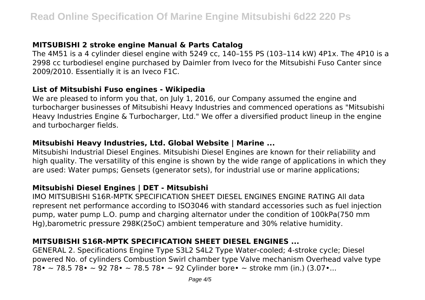## **MITSUBISHI 2 stroke engine Manual & Parts Catalog**

The 4M51 is a 4 cylinder diesel engine with 5249 cc, 140–155 PS (103–114 kW) 4P1x. The 4P10 is a 2998 cc turbodiesel engine purchased by Daimler from Iveco for the Mitsubishi Fuso Canter since 2009/2010. Essentially it is an Iveco F1C.

#### **List of Mitsubishi Fuso engines - Wikipedia**

We are pleased to inform you that, on July 1, 2016, our Company assumed the engine and turbocharger businesses of Mitsubishi Heavy Industries and commenced operations as "Mitsubishi Heavy Industries Engine & Turbocharger, Ltd." We offer a diversified product lineup in the engine and turbocharger fields.

#### **Mitsubishi Heavy Industries, Ltd. Global Website | Marine ...**

Mitsubishi Industrial Diesel Engines. Mitsubishi Diesel Engines are known for their reliability and high quality. The versatility of this engine is shown by the wide range of applications in which they are used: Water pumps; Gensets (generator sets), for industrial use or marine applications;

#### **Mitsubishi Diesel Engines | DET - Mitsubishi**

IMO MITSUBISHI S16R-MPTK SPECIFICATION SHEET DIESEL ENGINES ENGINE RATING All data represent net performance according to ISO3046 with standard accessories such as fuel injection pump, water pump L.O. pump and charging alternator under the condition of 100kPa(750 mm Hg),barometric pressure 298K(25oC) ambient temperature and 30% relative humidity.

## **MITSUBISHI S16R-MPTK SPECIFICATION SHEET DIESEL ENGINES ...**

GENERAL 2. Specifications Engine Type S3L2 S4L2 Type Water-cooled; 4-stroke cycle; Diesel powered No. of cylinders Combustion Swirl chamber type Valve mechanism Overhead valve type 78• ~ 78.5 78• ~ 92 78• ~ 78.5 78• ~ 92 Cylinder bore• ~ stroke mm (in.) (3.07•...